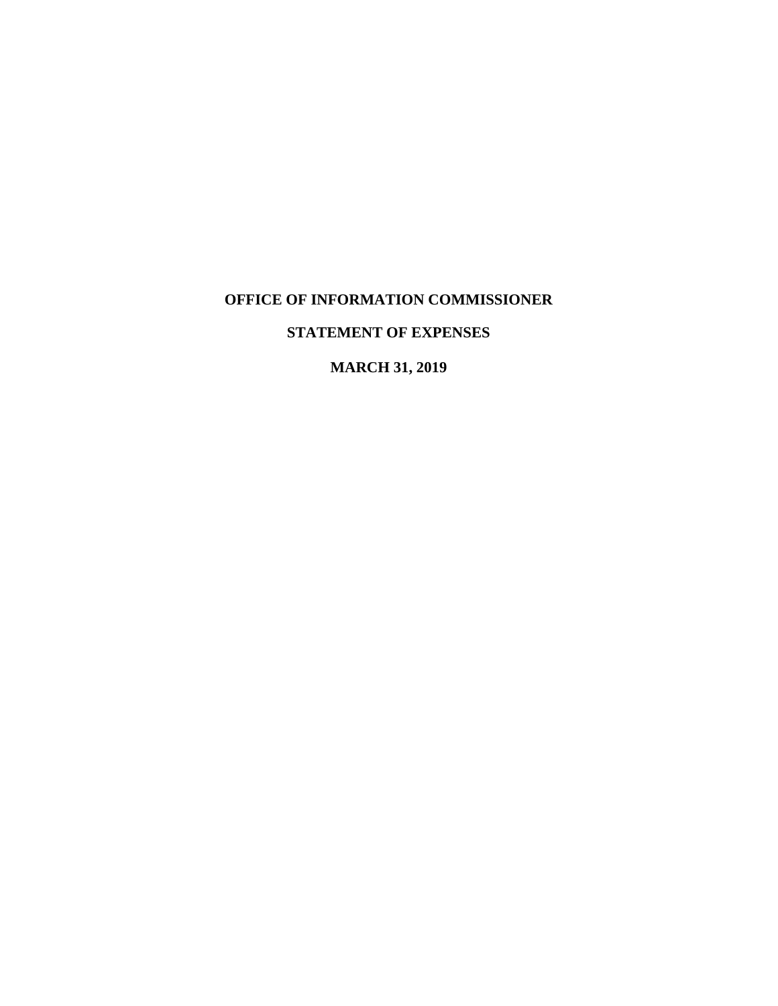## **STATEMENT OF EXPENSES**

**MARCH 31, 2019**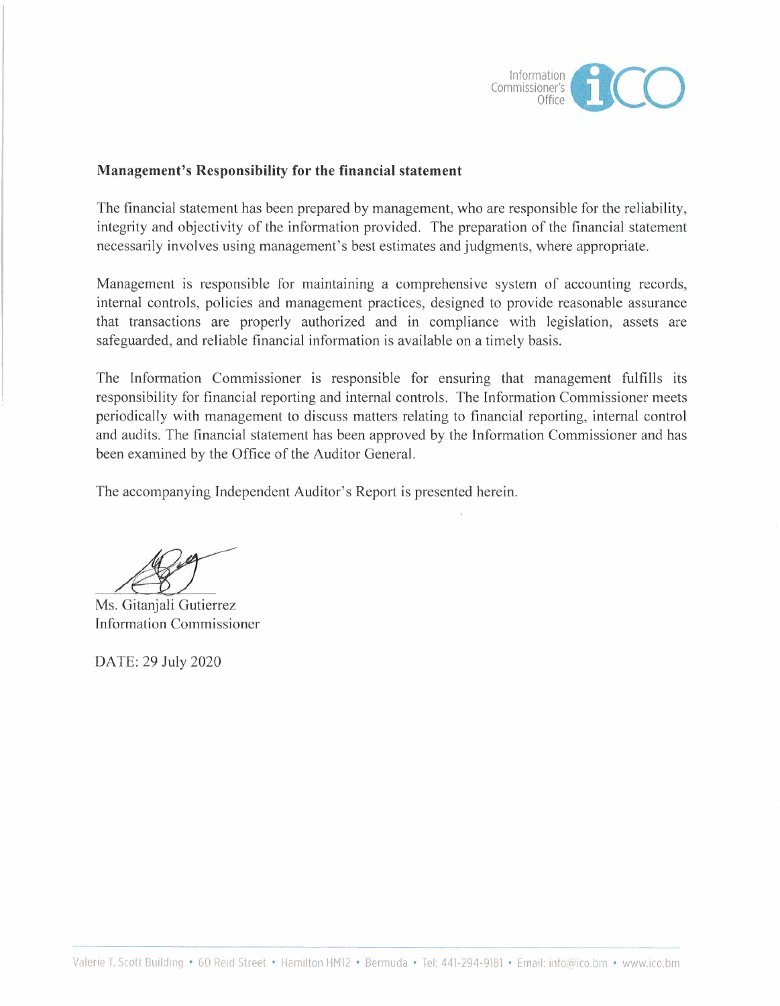

## **Management's Responsibility for the financial statement**

The financial statement has been prepared by management, who are responsible for the reliability, integrity and objectivity of the information provided. The preparation of the financial statement necessarily involves using management's best estimates and judgments, where appropriate.

Management is responsible for maintaining a comprehensive system of accounting records, internal controls, policies and management practices, designed to provide reasonable assurance that transactions are properly authorized and in compliance with legislation, assets are safeguarded, and reliable financial information is available on a timely basis.

The Information Commissioner is responsible for ensuring that management fulfills its responsibility for financial reporting and internal controls. The Information Commissioner meets periodically with management to discuss matters relating to financial reporting, internal control and audits. The financial statement has been approved by the Information Commissioner and has been examined by the Office of the Auditor General.

The accompanying Independent Auditor's Report is presented herein.

Ms. Gitanjali Gutierrez Information Commissioner

DATE: 29 July 2020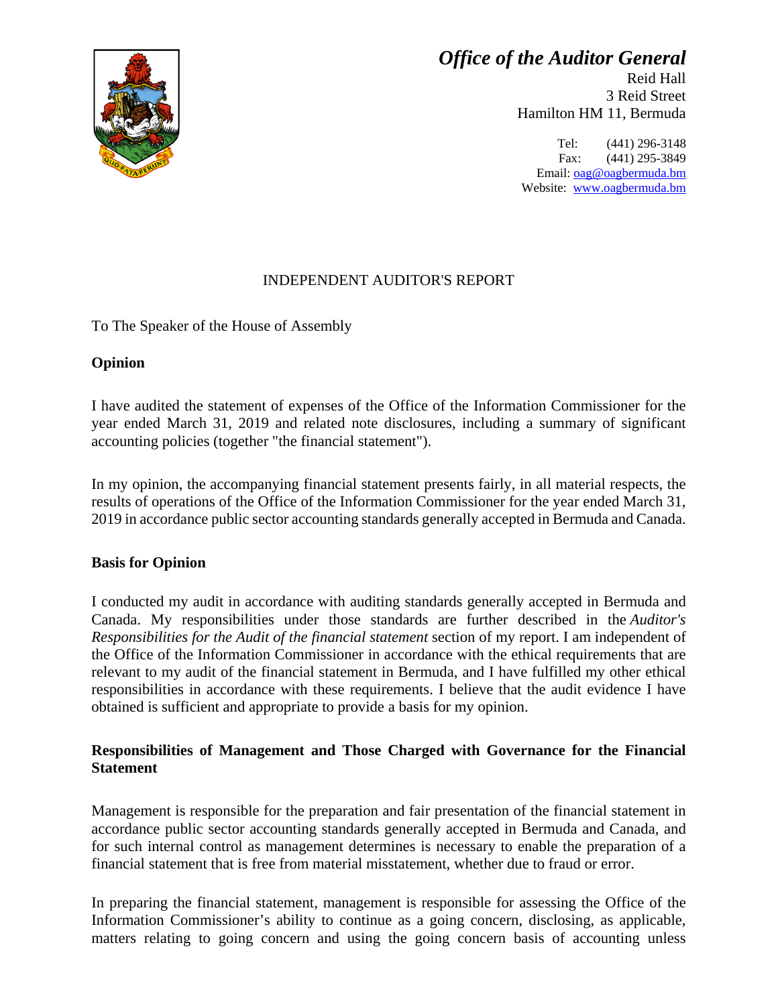

# *Office of the Auditor General*

Reid Hall 3 Reid Street Hamilton HM 11, Bermuda

Tel: (441) 296-3148 Fax: (441) 295-3849 Email: oag@oagbermuda.bm Website: www.oagbermuda.bm

## INDEPENDENT AUDITOR'S REPORT

To The Speaker of the House of Assembly

## **Opinion**

I have audited the statement of expenses of the Office of the Information Commissioner for the year ended March 31, 2019 and related note disclosures, including a summary of significant accounting policies (together "the financial statement").

In my opinion, the accompanying financial statement presents fairly, in all material respects, the results of operations of the Office of the Information Commissioner for the year ended March 31, 2019 in accordance public sector accounting standards generally accepted in Bermuda and Canada.

## **Basis for Opinion**

I conducted my audit in accordance with auditing standards generally accepted in Bermuda and Canada. My responsibilities under those standards are further described in the *Auditor's Responsibilities for the Audit of the financial statement* section of my report. I am independent of the Office of the Information Commissioner in accordance with the ethical requirements that are relevant to my audit of the financial statement in Bermuda, and I have fulfilled my other ethical responsibilities in accordance with these requirements. I believe that the audit evidence I have obtained is sufficient and appropriate to provide a basis for my opinion.

## **Responsibilities of Management and Those Charged with Governance for the Financial Statement**

Management is responsible for the preparation and fair presentation of the financial statement in accordance public sector accounting standards generally accepted in Bermuda and Canada, and for such internal control as management determines is necessary to enable the preparation of a financial statement that is free from material misstatement, whether due to fraud or error.

In preparing the financial statement, management is responsible for assessing the Office of the Information Commissioner's ability to continue as a going concern, disclosing, as applicable, matters relating to going concern and using the going concern basis of accounting unless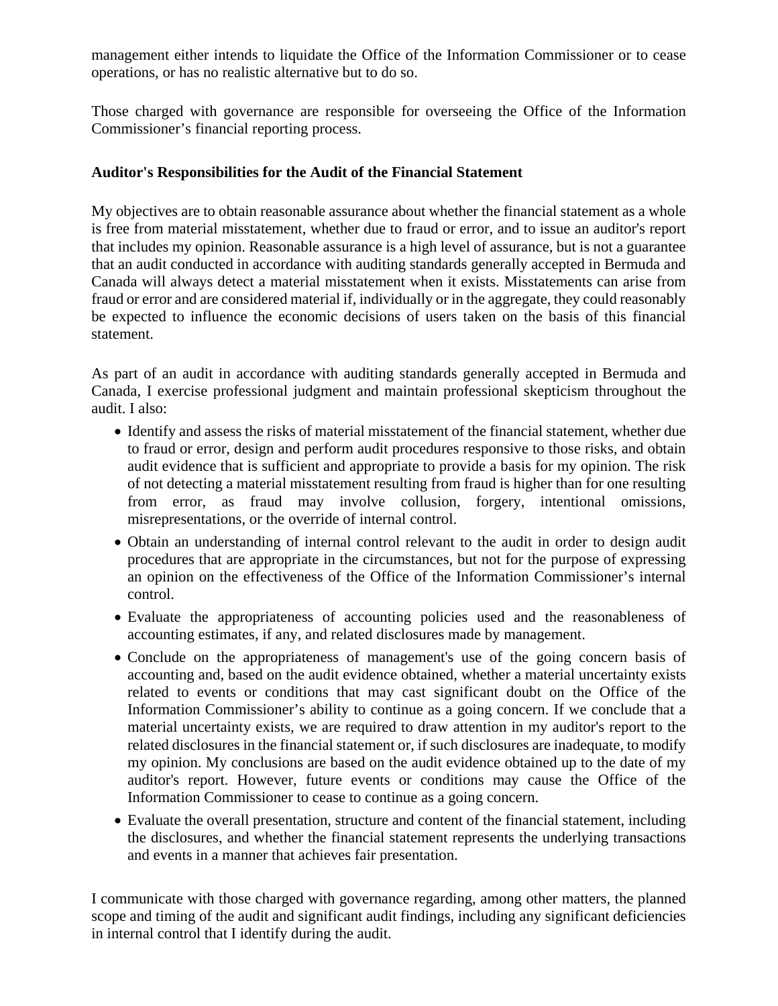management either intends to liquidate the Office of the Information Commissioner or to cease operations, or has no realistic alternative but to do so.

Those charged with governance are responsible for overseeing the Office of the Information Commissioner's financial reporting process.

## **Auditor's Responsibilities for the Audit of the Financial Statement**

My objectives are to obtain reasonable assurance about whether the financial statement as a whole is free from material misstatement, whether due to fraud or error, and to issue an auditor's report that includes my opinion. Reasonable assurance is a high level of assurance, but is not a guarantee that an audit conducted in accordance with auditing standards generally accepted in Bermuda and Canada will always detect a material misstatement when it exists. Misstatements can arise from fraud or error and are considered material if, individually or in the aggregate, they could reasonably be expected to influence the economic decisions of users taken on the basis of this financial statement.

As part of an audit in accordance with auditing standards generally accepted in Bermuda and Canada, I exercise professional judgment and maintain professional skepticism throughout the audit. I also:

- Identify and assess the risks of material misstatement of the financial statement, whether due to fraud or error, design and perform audit procedures responsive to those risks, and obtain audit evidence that is sufficient and appropriate to provide a basis for my opinion. The risk of not detecting a material misstatement resulting from fraud is higher than for one resulting from error, as fraud may involve collusion, forgery, intentional omissions, misrepresentations, or the override of internal control.
- Obtain an understanding of internal control relevant to the audit in order to design audit procedures that are appropriate in the circumstances, but not for the purpose of expressing an opinion on the effectiveness of the Office of the Information Commissioner's internal control.
- Evaluate the appropriateness of accounting policies used and the reasonableness of accounting estimates, if any, and related disclosures made by management.
- Conclude on the appropriateness of management's use of the going concern basis of accounting and, based on the audit evidence obtained, whether a material uncertainty exists related to events or conditions that may cast significant doubt on the Office of the Information Commissioner's ability to continue as a going concern. If we conclude that a material uncertainty exists, we are required to draw attention in my auditor's report to the related disclosures in the financial statement or, if such disclosures are inadequate, to modify my opinion. My conclusions are based on the audit evidence obtained up to the date of my auditor's report. However, future events or conditions may cause the Office of the Information Commissioner to cease to continue as a going concern.
- Evaluate the overall presentation, structure and content of the financial statement, including the disclosures, and whether the financial statement represents the underlying transactions and events in a manner that achieves fair presentation.

I communicate with those charged with governance regarding, among other matters, the planned scope and timing of the audit and significant audit findings, including any significant deficiencies in internal control that I identify during the audit.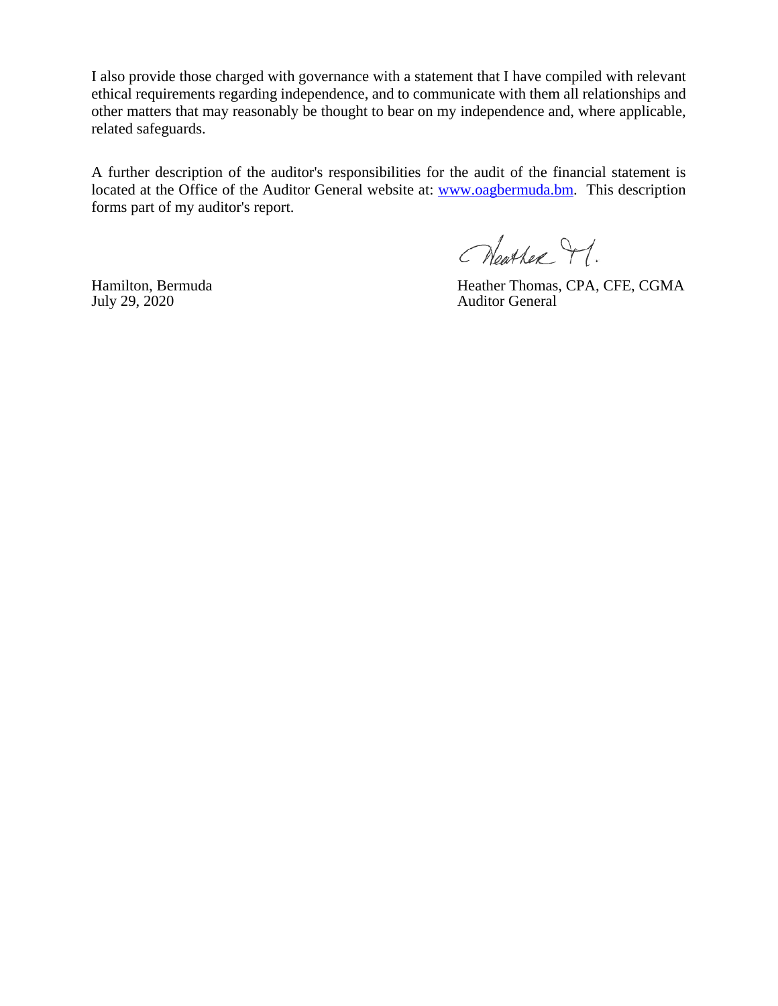I also provide those charged with governance with a statement that I have compiled with relevant ethical requirements regarding independence, and to communicate with them all relationships and other matters that may reasonably be thought to bear on my independence and, where applicable, related safeguards.

A further description of the auditor's responsibilities for the audit of the financial statement is located at the Office of the Auditor General website at: www.oagbermuda.bm. This description forms part of my auditor's report.

Newther II.

Hamilton, Bermuda<br>
July 29, 2020<br>
Auditor General<br>
Auditor General Auditor General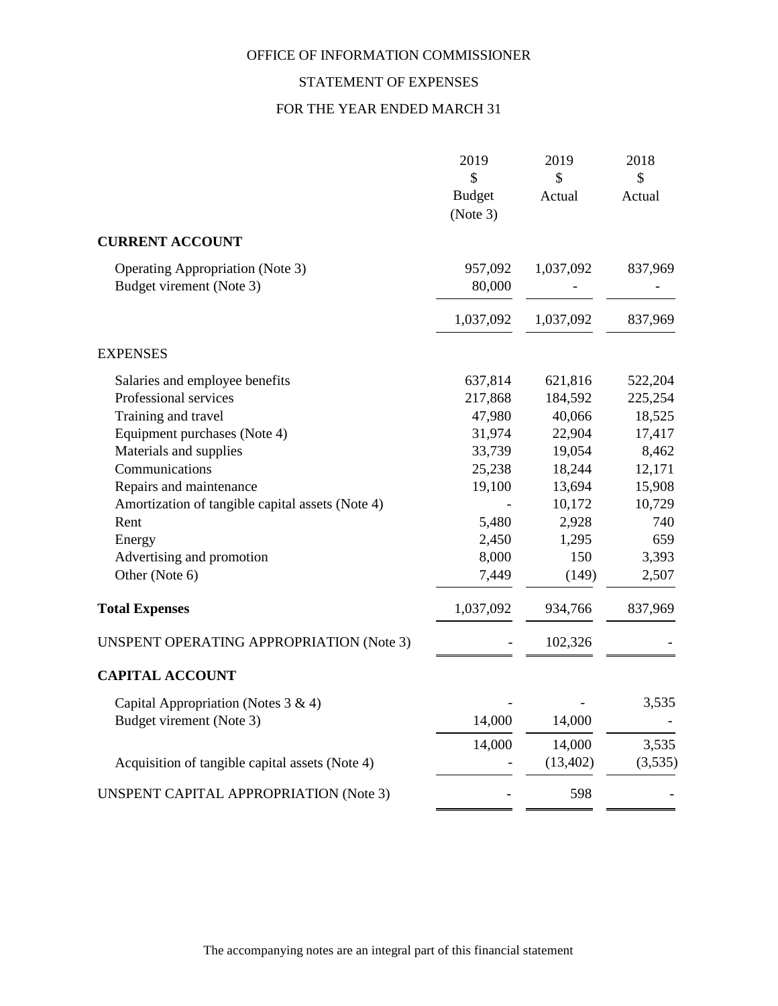#### STATEMENT OF EXPENSES

## FOR THE YEAR ENDED MARCH 31

|                                                                               | 2019<br>\$                 | 2019<br>\$                 | 2018<br>$\mathcal{S}$     |
|-------------------------------------------------------------------------------|----------------------------|----------------------------|---------------------------|
|                                                                               | <b>Budget</b><br>(Note 3)  | Actual                     | Actual                    |
| <b>CURRENT ACCOUNT</b>                                                        |                            |                            |                           |
| Operating Appropriation (Note 3)<br>Budget virement (Note 3)                  | 957,092<br>80,000          | 1,037,092                  | 837,969                   |
|                                                                               | 1,037,092                  | 1,037,092                  | 837,969                   |
| <b>EXPENSES</b>                                                               |                            |                            |                           |
| Salaries and employee benefits<br>Professional services                       | 637,814<br>217,868         | 621,816<br>184,592         | 522,204<br>225,254        |
| Training and travel<br>Equipment purchases (Note 4)<br>Materials and supplies | 47,980<br>31,974<br>33,739 | 40,066<br>22,904<br>19,054 | 18,525<br>17,417<br>8,462 |
| Communications<br>Repairs and maintenance                                     | 25,238<br>19,100           | 18,244<br>13,694           | 12,171<br>15,908          |
| Amortization of tangible capital assets (Note 4)<br>Rent                      | 5,480                      | 10,172<br>2,928            | 10,729<br>740             |
| Energy<br>Advertising and promotion<br>Other (Note 6)                         | 2,450<br>8,000<br>7,449    | 1,295<br>150<br>(149)      | 659<br>3,393<br>2,507     |
| <b>Total Expenses</b>                                                         | 1,037,092                  | 934,766                    | 837,969                   |
| <b>UNSPENT OPERATING APPROPRIATION (Note 3)</b>                               |                            | 102,326                    |                           |
| <b>CAPITAL ACCOUNT</b>                                                        |                            |                            |                           |
| Capital Appropriation (Notes $3 \& 4$ )<br>Budget virement (Note 3)           | 14,000                     | 14,000                     | 3,535                     |
| Acquisition of tangible capital assets (Note 4)                               | 14,000                     | 14,000<br>(13, 402)        | 3,535<br>(3,535)          |
| <b>UNSPENT CAPITAL APPROPRIATION (Note 3)</b>                                 |                            | 598                        |                           |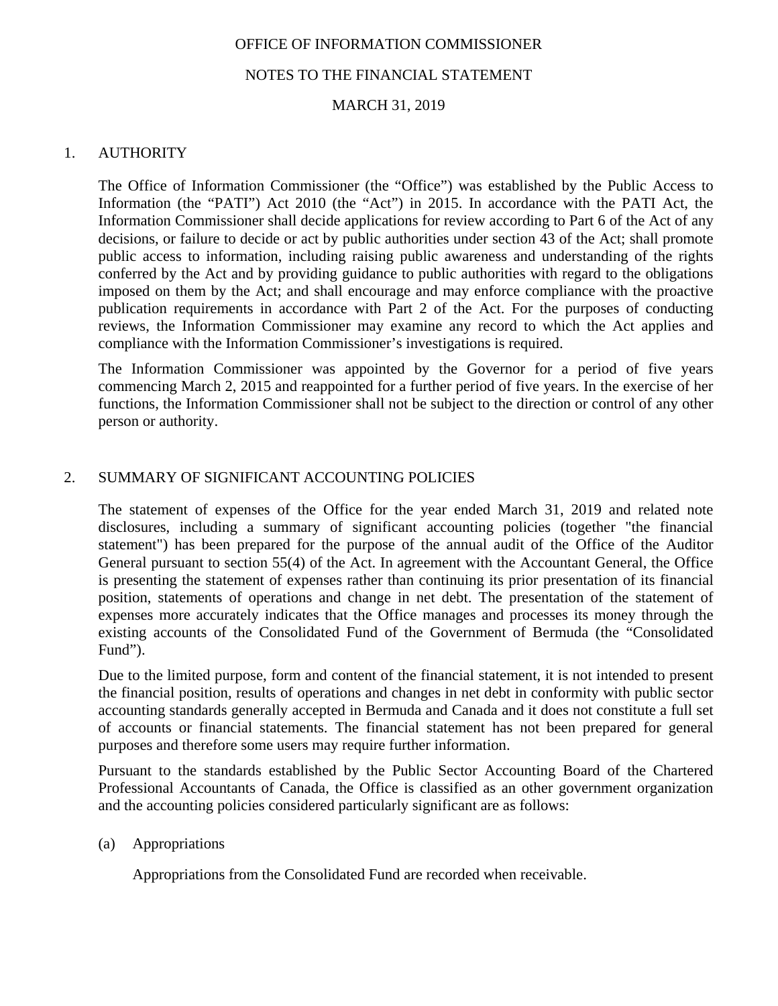## NOTES TO THE FINANCIAL STATEMENT

## MARCH 31, 2019

## 1. AUTHORITY

The Office of Information Commissioner (the "Office") was established by the Public Access to Information (the "PATI") Act 2010 (the "Act") in 2015. In accordance with the PATI Act, the Information Commissioner shall decide applications for review according to Part 6 of the Act of any decisions, or failure to decide or act by public authorities under section 43 of the Act; shall promote public access to information, including raising public awareness and understanding of the rights conferred by the Act and by providing guidance to public authorities with regard to the obligations imposed on them by the Act; and shall encourage and may enforce compliance with the proactive publication requirements in accordance with Part 2 of the Act. For the purposes of conducting reviews, the Information Commissioner may examine any record to which the Act applies and compliance with the Information Commissioner's investigations is required.

The Information Commissioner was appointed by the Governor for a period of five years commencing March 2, 2015 and reappointed for a further period of five years. In the exercise of her functions, the Information Commissioner shall not be subject to the direction or control of any other person or authority.

## 2. SUMMARY OF SIGNIFICANT ACCOUNTING POLICIES

The statement of expenses of the Office for the year ended March 31, 2019 and related note disclosures, including a summary of significant accounting policies (together "the financial statement") has been prepared for the purpose of the annual audit of the Office of the Auditor General pursuant to section 55(4) of the Act. In agreement with the Accountant General, the Office is presenting the statement of expenses rather than continuing its prior presentation of its financial position, statements of operations and change in net debt. The presentation of the statement of expenses more accurately indicates that the Office manages and processes its money through the existing accounts of the Consolidated Fund of the Government of Bermuda (the "Consolidated Fund").

Due to the limited purpose, form and content of the financial statement, it is not intended to present the financial position, results of operations and changes in net debt in conformity with public sector accounting standards generally accepted in Bermuda and Canada and it does not constitute a full set of accounts or financial statements. The financial statement has not been prepared for general purposes and therefore some users may require further information.

Pursuant to the standards established by the Public Sector Accounting Board of the Chartered Professional Accountants of Canada, the Office is classified as an other government organization and the accounting policies considered particularly significant are as follows:

(a) Appropriations

Appropriations from the Consolidated Fund are recorded when receivable.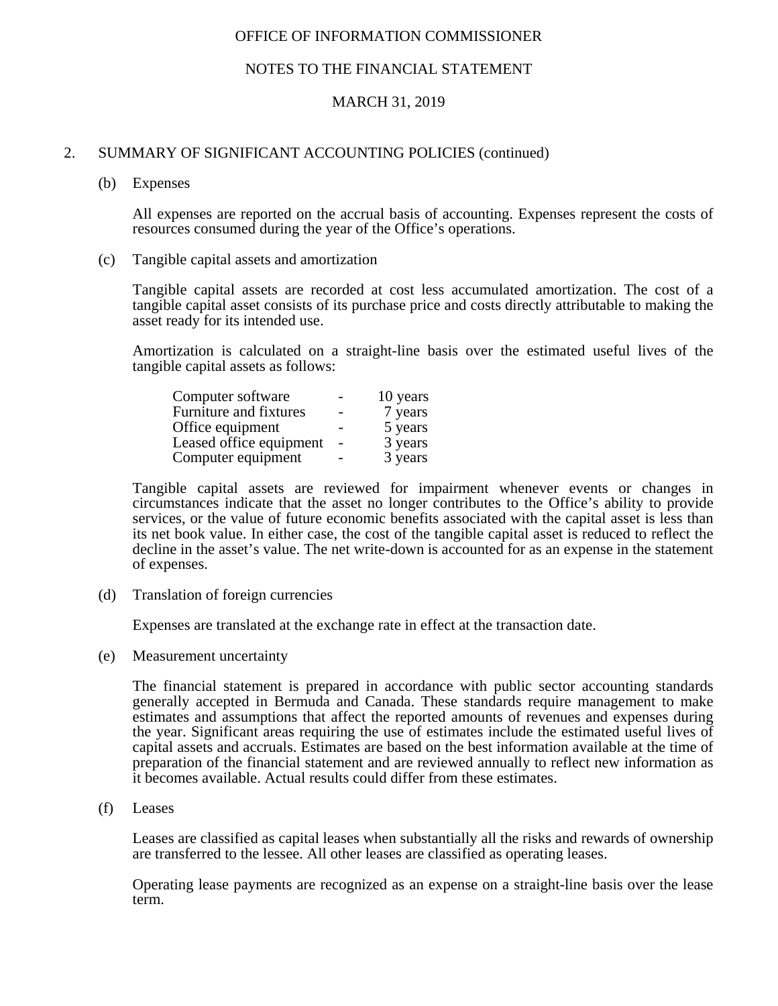## NOTES TO THE FINANCIAL STATEMENT

## MARCH 31, 2019

## 2. SUMMARY OF SIGNIFICANT ACCOUNTING POLICIES (continued)

#### (b) Expenses

All expenses are reported on the accrual basis of accounting. Expenses represent the costs of resources consumed during the year of the Office's operations.

(c) Tangible capital assets and amortization

Tangible capital assets are recorded at cost less accumulated amortization. The cost of a tangible capital asset consists of its purchase price and costs directly attributable to making the asset ready for its intended use.

Amortization is calculated on a straight-line basis over the estimated useful lives of the tangible capital assets as follows:

| Computer software       | 10 years |
|-------------------------|----------|
| Furniture and fixtures  | 7 years  |
| Office equipment        | 5 years  |
| Leased office equipment | 3 years  |
| Computer equipment      | 3 years  |

Tangible capital assets are reviewed for impairment whenever events or changes in circumstances indicate that the asset no longer contributes to the Office's ability to provide services, or the value of future economic benefits associated with the capital asset is less than its net book value. In either case, the cost of the tangible capital asset is reduced to reflect the decline in the asset's value. The net write-down is accounted for as an expense in the statement of expenses.

(d) Translation of foreign currencies

Expenses are translated at the exchange rate in effect at the transaction date.

(e) Measurement uncertainty

The financial statement is prepared in accordance with public sector accounting standards generally accepted in Bermuda and Canada. These standards require management to make estimates and assumptions that affect the reported amounts of revenues and expenses during the year. Significant areas requiring the use of estimates include the estimated useful lives of capital assets and accruals. Estimates are based on the best information available at the time of preparation of the financial statement and are reviewed annually to reflect new information as it becomes available. Actual results could differ from these estimates.

(f) Leases

Leases are classified as capital leases when substantially all the risks and rewards of ownership are transferred to the lessee. All other leases are classified as operating leases.

Operating lease payments are recognized as an expense on a straight-line basis over the lease term.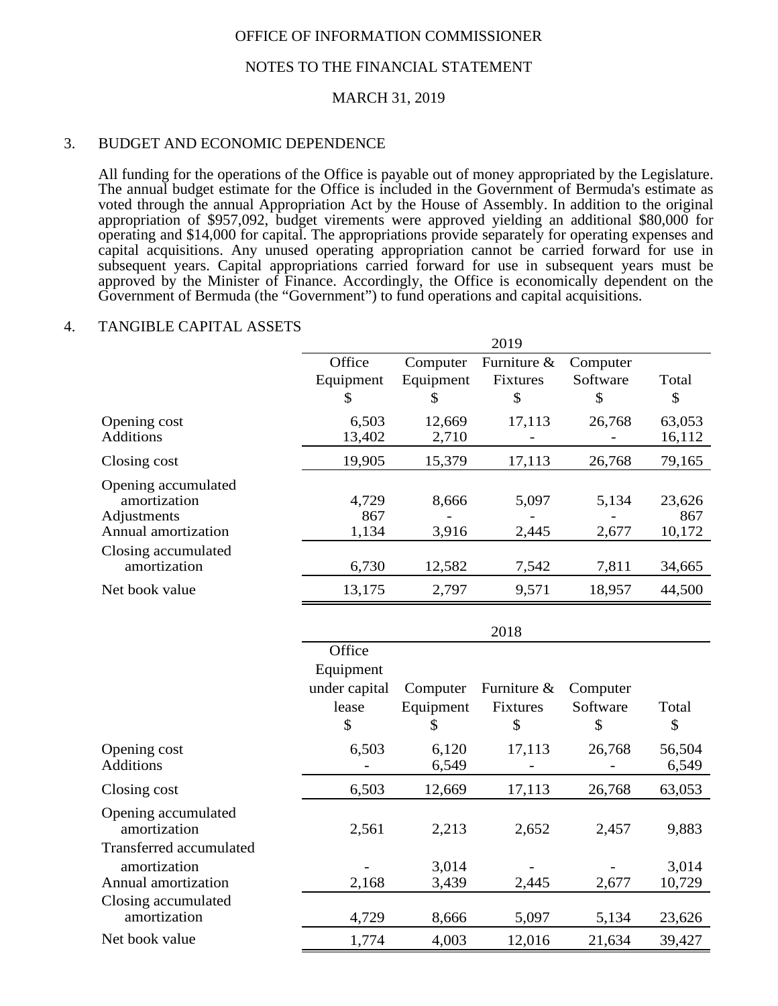## NOTES TO THE FINANCIAL STATEMENT

## MARCH 31, 2019

## 3. BUDGET AND ECONOMIC DEPENDENCE

 All funding for the operations of the Office is payable out of money appropriated by the Legislature. The annual budget estimate for the Office is included in the Government of Bermuda's estimate as voted through the annual Appropriation Act by the House of Assembly. In addition to the original appropriation of \$957,092, budget virements were approved yielding an additional \$80,000 for operating and \$14,000 for capital. The appropriations provide separately for operating expenses and capital acquisitions. Any unused operating appropriation cannot be carried forward for use in subsequent years. Capital appropriations carried forward for use in subsequent years must be approved by the Minister of Finance. Accordingly, the Office is economically dependent on the Government of Bermuda (the "Government") to fund operations and capital acquisitions.

## 4. TANGIBLE CAPITAL ASSETS

|                                                                           | 2019                                                |                             |                               |                            |                         |
|---------------------------------------------------------------------------|-----------------------------------------------------|-----------------------------|-------------------------------|----------------------------|-------------------------|
|                                                                           | Office<br>Equipment<br>\$                           | Computer<br>Equipment<br>\$ | Furniture &<br>Fixtures<br>\$ | Computer<br>Software<br>\$ | Total<br>\$             |
| Opening cost<br><b>Additions</b>                                          | 6,503<br>13,402                                     | 12,669<br>2,710             | 17,113                        | 26,768                     | 63,053<br>16,112        |
| Closing cost                                                              | 19,905                                              | 15,379                      | 17,113                        | 26,768                     | 79,165                  |
| Opening accumulated<br>amortization<br>Adjustments<br>Annual amortization | 4,729<br>867<br>1,134                               | 8,666<br>3,916              | 5,097<br>2,445                | 5,134<br>2,677             | 23,626<br>867<br>10,172 |
| Closing accumulated<br>amortization                                       | 6,730                                               | 12,582                      | 7,542                         | 7,811                      | 34,665                  |
| Net book value                                                            | 13,175                                              | 2,797                       | 9,571                         | 18,957                     | 44,500                  |
|                                                                           | 2018                                                |                             |                               |                            |                         |
|                                                                           | Office<br>Equipment<br>under capital<br>lease<br>\$ | Computer<br>Equipment<br>S  | Furniture &<br>Fixtures<br>\$ | Computer<br>Software<br>\$ | Total<br>\$             |
| Opening cost<br><b>Additions</b>                                          | 6,503                                               | 6,120<br>6,549              | 17,113                        | 26,768                     | 56,504<br>6,549         |
| Closing cost                                                              | 6,503                                               | 12,669                      | 17,113                        | 26,768                     | 63,053                  |
| Opening accumulated<br>amortization                                       | 2,561                                               | 2,213                       | 2,652                         | 2,457                      | 9,883                   |
| Transferred accumulated<br>amortization<br>Annual amortization            | 2,168                                               | 3,014<br>3,439              | 2,445                         | 2,677                      | 3,014<br>10,729         |
| Closing accumulated                                                       |                                                     |                             |                               |                            |                         |

amortization 4,729 8,666 5,097 5,134 23,626

Net book value 1,774 4,003 12,016 21,634 39,427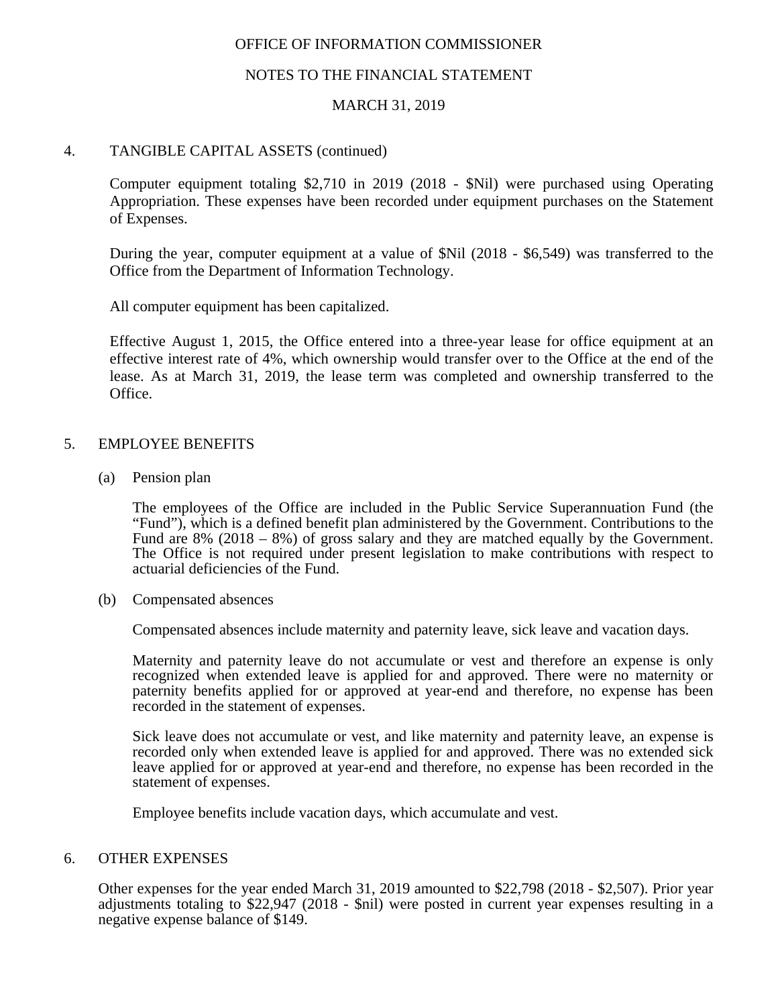## NOTES TO THE FINANCIAL STATEMENT

## MARCH 31, 2019

## 4. TANGIBLE CAPITAL ASSETS (continued)

 Computer equipment totaling \$2,710 in 2019 (2018 - \$Nil) were purchased using Operating Appropriation. These expenses have been recorded under equipment purchases on the Statement of Expenses.

 During the year, computer equipment at a value of \$Nil (2018 - \$6,549) was transferred to the Office from the Department of Information Technology.

All computer equipment has been capitalized.

 Effective August 1, 2015, the Office entered into a three-year lease for office equipment at an effective interest rate of 4%, which ownership would transfer over to the Office at the end of the lease. As at March 31, 2019, the lease term was completed and ownership transferred to the Office.

#### 5. EMPLOYEE BENEFITS

(a) Pension plan

 The employees of the Office are included in the Public Service Superannuation Fund (the "Fund"), which is a defined benefit plan administered by the Government. Contributions to the Fund are 8% (2018 – 8%) of gross salary and they are matched equally by the Government. The Office is not required under present legislation to make contributions with respect to actuarial deficiencies of the Fund.

(b) Compensated absences

Compensated absences include maternity and paternity leave, sick leave and vacation days.

 Maternity and paternity leave do not accumulate or vest and therefore an expense is only recognized when extended leave is applied for and approved. There were no maternity or paternity benefits applied for or approved at year-end and therefore, no expense has been recorded in the statement of expenses.

 Sick leave does not accumulate or vest, and like maternity and paternity leave, an expense is recorded only when extended leave is applied for and approved. There was no extended sick leave applied for or approved at year-end and therefore, no expense has been recorded in the statement of expenses.

Employee benefits include vacation days, which accumulate and vest.

#### 6. OTHER EXPENSES

 Other expenses for the year ended March 31, 2019 amounted to \$22,798 (2018 - \$2,507). Prior year adjustments totaling to \$22,947 (2018 - \$nil) were posted in current year expenses resulting in a negative expense balance of \$149.